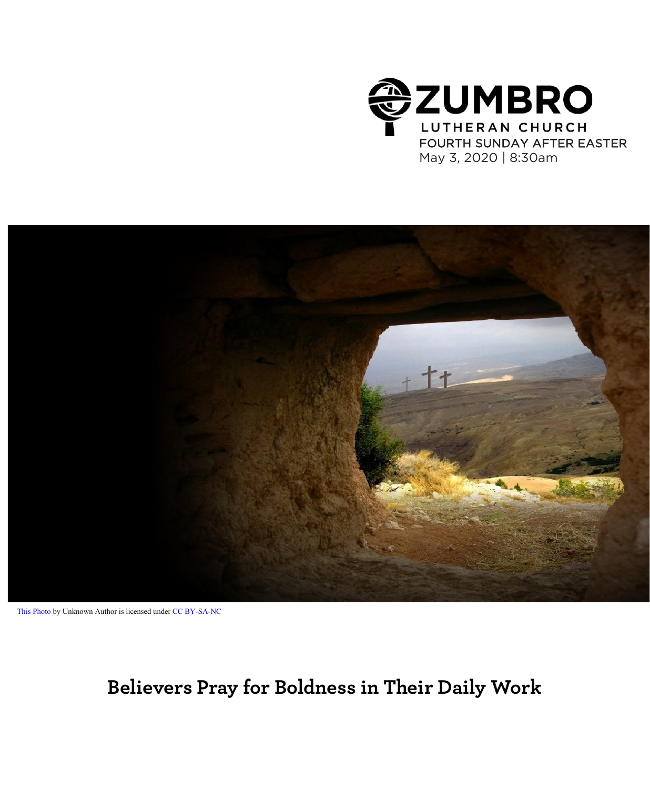



```
This Photo by Unknown Author is licensed under CC BY-SA-NC
```
## **Believers Pray for Boldness in Their Daily Work**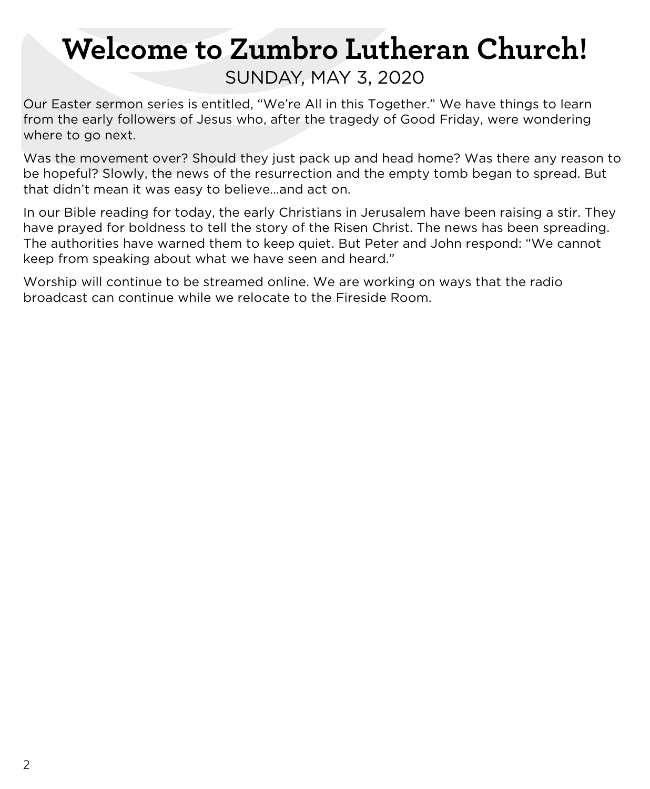# **Welcome to Zumbro Lutheran Church!** SUNDAY, MAY 3, 2020

Our Easter sermon series is entitled, "We're All in this Together." We have things to learn from the early followers of Jesus who, after the tragedy of Good Friday, were wondering where to go next.

Was the movement over? Should they just pack up and head home? Was there any reason to be hopeful? Slowly, the news of the resurrection and the empty tomb began to spread. But that didn't mean it was easy to believe…and act on.

In our Bible reading for today, the early Christians in Jerusalem have been raising a stir. They have prayed for boldness to tell the story of the Risen Christ. The news has been spreading. The authorities have warned them to keep quiet. But Peter and John respond: "We cannot keep from speaking about what we have seen and heard."

Worship will continue to be streamed online. We are working on ways that the radio broadcast can continue while we relocate to the Fireside Room.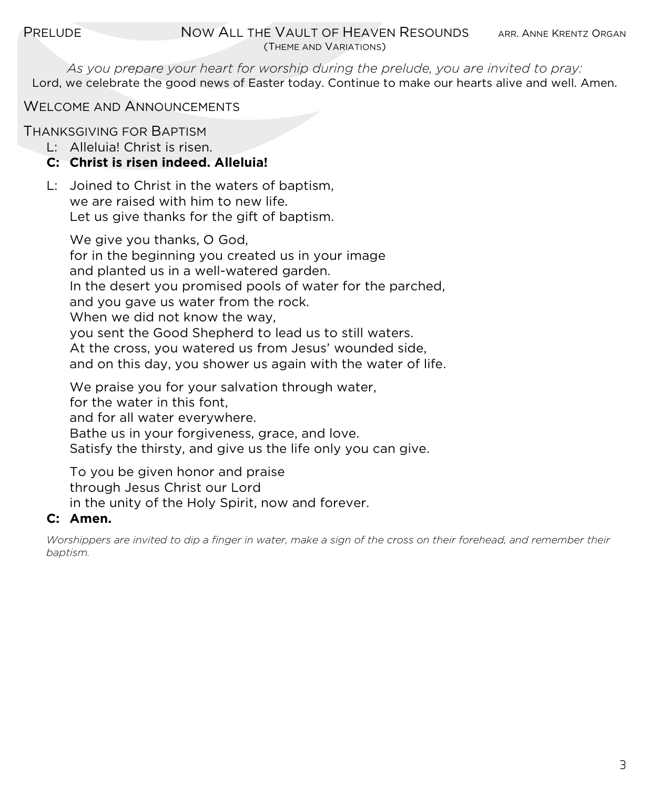*As you prepare your heart for worship during the prelude, you are invited to pray:* Lord, we celebrate the good news of Easter today. Continue to make our hearts alive and well. Amen.

WELCOME AND ANNOUNCEMENTS

THANKSGIVING FOR BAPTISM

L: Alleluia! Christ is risen.

#### **C: Christ is risen indeed. Alleluia!**

L: Joined to Christ in the waters of baptism, we are raised with him to new life. Let us give thanks for the gift of baptism.

We give you thanks, O God, for in the beginning you created us in your image and planted us in a well-watered garden. In the desert you promised pools of water for the parched, and you gave us water from the rock. When we did not know the way. you sent the Good Shepherd to lead us to still waters. At the cross, you watered us from Jesus' wounded side, and on this day, you shower us again with the water of life. We praise you for your salvation through water,

for the water in this font, and for all water everywhere. Bathe us in your forgiveness, grace, and love. Satisfy the thirsty, and give us the life only you can give.

To you be given honor and praise through Jesus Christ our Lord in the unity of the Holy Spirit, now and forever.

#### **C: Amen.**

*Worshippers are invited to dip a finger in water, make a sign of the cross on their forehead, and remember their baptism.*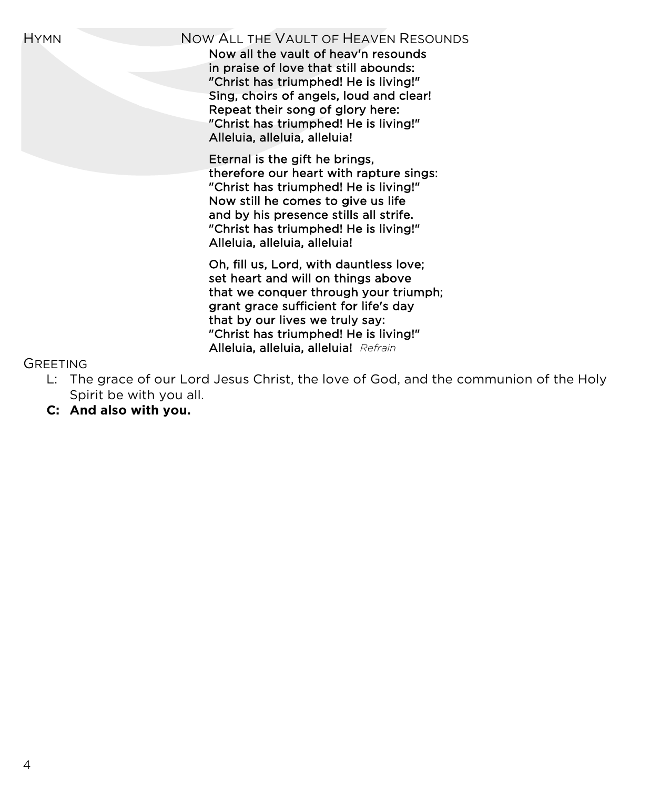#### HYMN NOW ALL THE VAULT OF HEAVEN RESOUNDS

Now all the vault of heav'n resounds in praise of love that still abounds: "Christ has triumphed! He is living!" Sing, choirs of angels, loud and clear! Repeat their song of glory here: "Christ has triumphed! He is living!" Alleluia, alleluia, alleluia!

 Eternal is the gift he brings, therefore our heart with rapture sings: "Christ has triumphed! He is living!" Now still he comes to give us life and by his presence stills all strife. "Christ has triumphed! He is living!" Alleluia, alleluia, alleluia!

 Oh, fill us, Lord, with dauntless love; set heart and will on things above that we conquer through your triumph; grant grace sufficient for life's day that by our lives we truly say: "Christ has triumphed! He is living!" Alleluia, alleluia, alleluia! *Refrain*

#### GREETING

- L: The grace of our Lord Jesus Christ, the love of God, and the communion of the Holy Spirit be with you all.
- **C: And also with you.**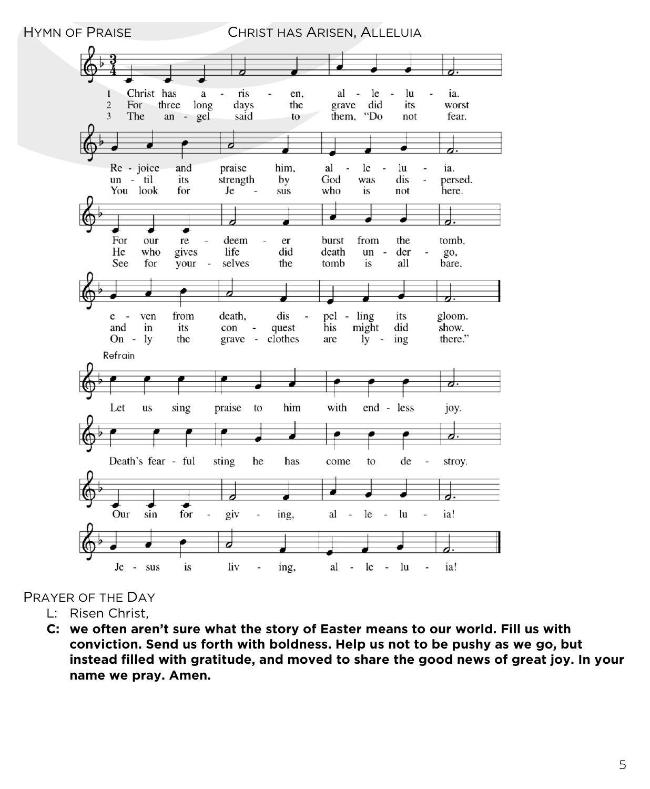

#### PRAYER OF THE DAY

- L: Risen Christ,
- **C: we often aren't sure what the story of Easter means to our world. Fill us with conviction. Send us forth with boldness. Help us not to be pushy as we go, but instead filled with gratitude, and moved to share the good news of great joy. In your name we pray. Amen.**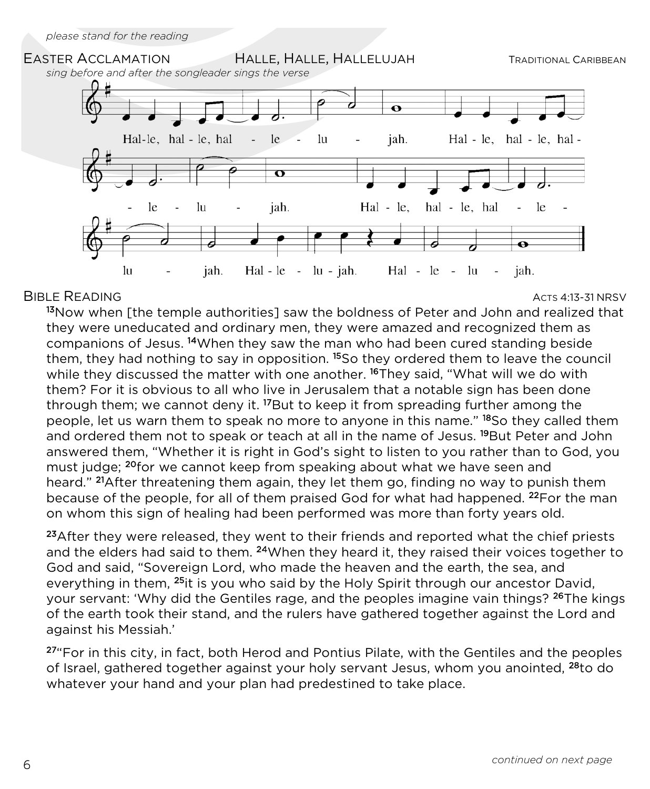

#### BIBLE READING ACTS 4:13-31 NRSV

<sup>13</sup>Now when [the temple authorities] saw the boldness of Peter and John and realized that they were uneducated and ordinary men, they were amazed and recognized them as companions of Jesus. 14When they saw the man who had been cured standing beside them, they had nothing to say in opposition. <sup>15</sup>So they ordered them to leave the council while they discussed the matter with one another. <sup>16</sup>They said, "What will we do with them? For it is obvious to all who live in Jerusalem that a notable sign has been done through them; we cannot deny it. <sup>17</sup>But to keep it from spreading further among the people, let us warn them to speak no more to anyone in this name." 18So they called them and ordered them not to speak or teach at all in the name of Jesus. <sup>19</sup>But Peter and John answered them, "Whether it is right in God's sight to listen to you rather than to God, you must judge; <sup>20</sup>for we cannot keep from speaking about what we have seen and heard." <sup>21</sup>After threatening them again, they let them go, finding no way to punish them because of the people, for all of them praised God for what had happened. <sup>22</sup>For the man on whom this sign of healing had been performed was more than forty years old.

<sup>23</sup>After they were released, they went to their friends and reported what the chief priests and the elders had said to them. <sup>24</sup>When they heard it, they raised their voices together to God and said, "Sovereign Lord, who made the heaven and the earth, the sea, and everything in them, <sup>25</sup>it is you who said by the Holy Spirit through our ancestor David, your servant: 'Why did the Gentiles rage, and the peoples imagine vain things? <sup>26</sup>The kings of the earth took their stand, and the rulers have gathered together against the Lord and against his Messiah.'

 $27^{\circ}$ For in this city, in fact, both Herod and Pontius Pilate, with the Gentiles and the peoples of Israel, gathered together against your holy servant Jesus, whom you anointed, 28to do whatever your hand and your plan had predestined to take place.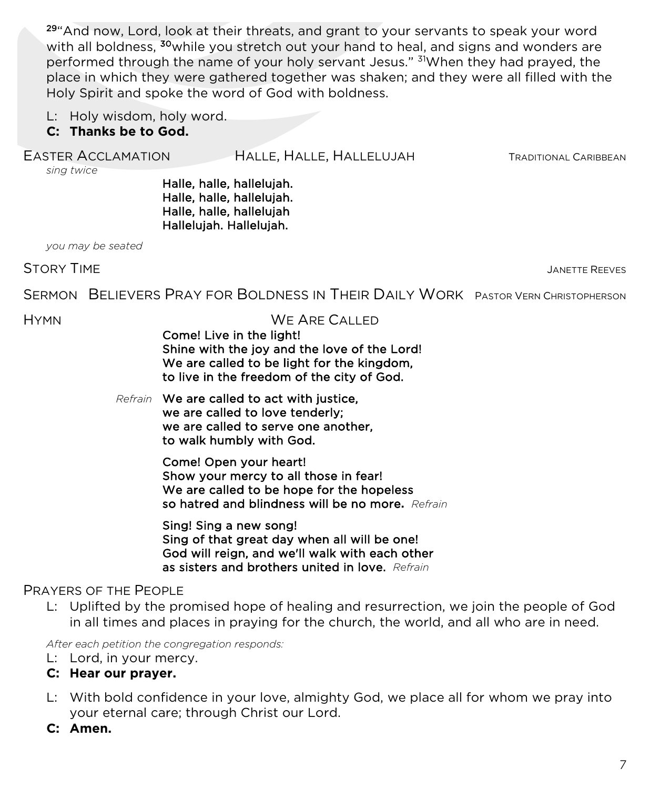29"And now, Lord, look at their threats, and grant to your servants to speak your word with all boldness, <sup>30</sup>while you stretch out your hand to heal, and signs and wonders are performed through the name of your holy servant Jesus." <sup>31</sup>When they had prayed, the place in which they were gathered together was shaken; and they were all filled with the Holy Spirit and spoke the word of God with boldness.

L: Holy wisdom, holy word.

#### **C: Thanks be to God.**

#### EASTER ACCLAMATION HALLE, HALLE, HALLELUJAH TRADITIONAL CARIBBEAN

*sing twice*

Halle, halle, hallelujah. Halle, halle, hallelujah. Halle, halle, hallelujah Hallelujah. Hallelujah.

*you may be seated*

STORY TIME GEVES AND RESIDENCE AND RESIDENCE ASSESSED. THE STORY TIME REEVES

SERMON BELIEVERS PRAY FOR BOLDNESS IN THEIR DAILY WORK PASTOR VERN CHRISTOPHERSON

#### HYMN WE ARE CALLED

Come! Live in the light! Shine with the joy and the love of the Lord! We are called to be light for the kingdom, to live in the freedom of the city of God.

*Refrain* We are called to act with justice, we are called to love tenderly; we are called to serve one another, to walk humbly with God.

> Come! Open your heart! Show your mercy to all those in fear! We are called to be hope for the hopeless so hatred and blindness will be no more**.** *Refrain*

Sing! Sing a new song! Sing of that great day when all will be one! God will reign, and we'll walk with each other as sisters and brothers united in love. *Refrain*

#### PRAYERS OF THE PEOPLE

L: Uplifted by the promised hope of healing and resurrection, we join the people of God in all times and places in praying for the church, the world, and all who are in need.

*After each petition the congregation responds:*

- L: Lord, in your mercy.
- **C: Hear our prayer.**
- L: With bold confidence in your love, almighty God, we place all for whom we pray into your eternal care; through Christ our Lord.
- **C: Amen.**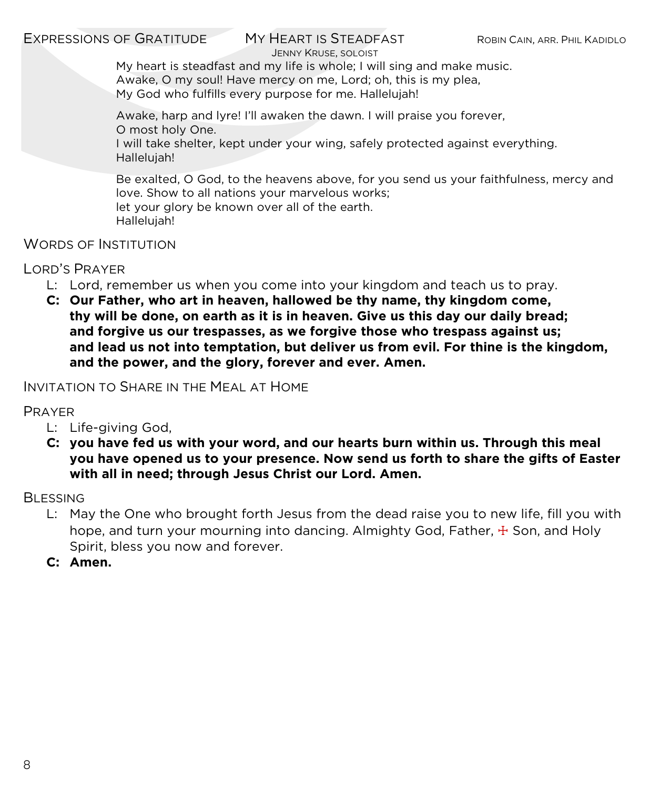#### EXPRESSIONS OF GRATITUDE MY HEART IS STEADFAST ROBIN CAIN, ARR. PHIL KADIDLO

JENNY KRUSE, SOLOIST

My heart is steadfast and my life is whole; I will sing and make music. Awake, O my soul! Have mercy on me, Lord; oh, this is my plea, My God who fulfills every purpose for me. Hallelujah!

Awake, harp and lyre! I'll awaken the dawn. I will praise you forever, O most holy One.

I will take shelter, kept under your wing, safely protected against everything. Hallelujah!

Be exalted, O God, to the heavens above, for you send us your faithfulness, mercy and love. Show to all nations your marvelous works; let your glory be known over all of the earth. Hallelujah!

WORDS OF INSTITUTION

LORD'S PRAYER

- L: Lord, remember us when you come into your kingdom and teach us to pray.
- **C: Our Father, who art in heaven, hallowed be thy name, thy kingdom come, thy will be done, on earth as it is in heaven. Give us this day our daily bread; and forgive us our trespasses, as we forgive those who trespass against us; and lead us not into temptation, but deliver us from evil. For thine is the kingdom, and the power, and the glory, forever and ever. Amen.**

INVITATION TO SHARE IN THE MEAL AT HOME

PRAYER

- L: Life-giving God,
- **C: you have fed us with your word, and our hearts burn within us. Through this meal you have opened us to your presence. Now send us forth to share the gifts of Easter with all in need; through Jesus Christ our Lord. Amen.**

**BLESSING** 

- L: May the One who brought forth Jesus from the dead raise you to new life, fill you with hope, and turn your mourning into dancing. Almighty God, Father,  $\pm$  Son, and Holy Spirit, bless you now and forever.
- **C: Amen.**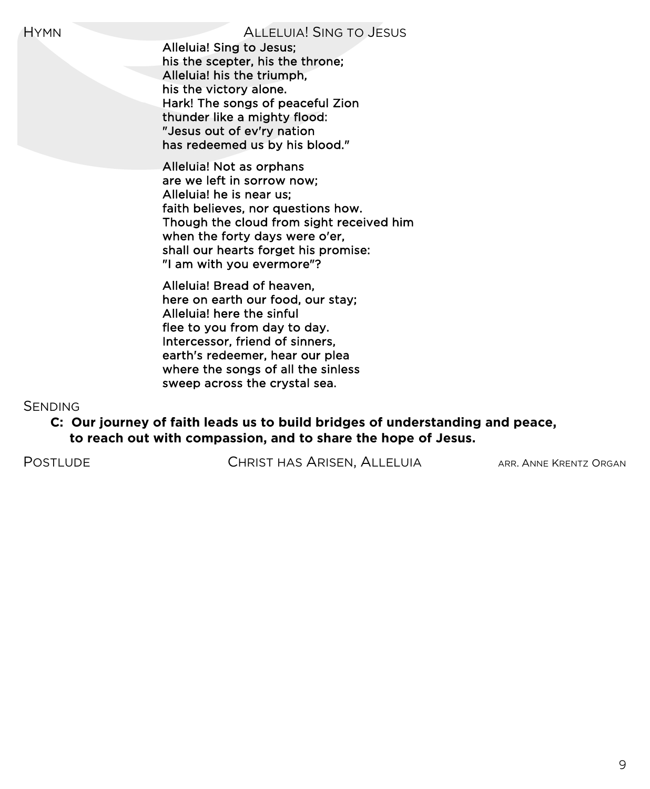Alleluia! Sing to Jesus; his the scepter, his the throne; Alleluia! his the triumph, his the victory alone. Hark! The songs of peaceful Zion thunder like a mighty flood: "Jesus out of ev'ry nation has redeemed us by his blood."

 Alleluia! Not as orphans are we left in sorrow now; Alleluia! he is near us; faith believes, nor questions how. Though the cloud from sight received him when the forty days were o'er, shall our hearts forget his promise: "I am with you evermore"?

 Alleluia! Bread of heaven, here on earth our food, our stay; Alleluia! here the sinful flee to you from day to day. Intercessor, friend of sinners, earth's redeemer, hear our plea where the songs of all the sinless sweep across the crystal sea.

#### **SENDING**

#### **C: Our journey of faith leads us to build bridges of understanding and peace, to reach out with compassion, and to share the hope of Jesus.**

POSTLUDE **CHRIST HAS ARISEN, ALLELUIA** ARR. ANNE KRENTZ ORGAN